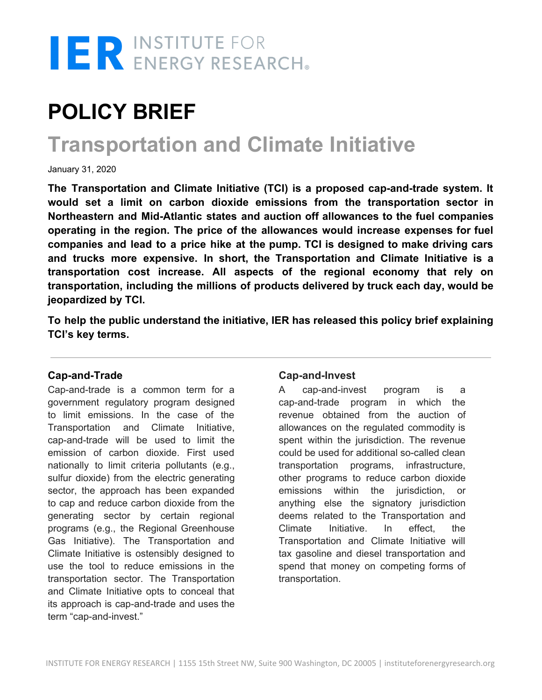

# **POLICY BRIEF**

# **Transportation and Climate Initiative**

January 31, 2020

**The Transportation and Climate Initiative (TCI) is a proposed cap-and-trade system. It would set a limit on carbon dioxide emissions from the transportation sector in Northeastern and Mid-Atlantic states and auction off allowances to the fuel companies operating in the region. The price of the allowances would increase expenses for fuel companies and lead to a price hike at the pump. TCI is designed to make driving cars and trucks more expensive. In short, the Transportation and Climate Initiative is a transportation cost increase. All aspects of the regional economy that rely on transportation, including the millions of products delivered by truck each day, would be jeopardized by TCI.**

**To help the public understand the initiative, IER has released this policy brief explaining TCI's key terms.**

#### **Cap-and-Trade**

Cap-and-trade is a common term for a government regulatory program designed to limit emissions. In the case of the Transportation and Climate Initiative, cap-and-trade will be used to limit the emission of carbon dioxide. First used nationally to limit criteria pollutants (e.g., sulfur dioxide) from the electric generating sector, the approach has been expanded to cap and reduce carbon dioxide from the generating sector by certain regional programs (e.g., the Regional Greenhouse Gas Initiative). The Transportation and Climate Initiative is ostensibly designed to use the tool to reduce emissions in the transportation sector. The Transportation and Climate Initiative opts to conceal that its approach is cap-and-trade and uses the term "cap-and-invest."

#### **Cap-and-Invest**

A cap-and-invest program is a cap-and-trade program in which the revenue obtained from the auction of allowances on the regulated commodity is spent within the jurisdiction. The revenue could be used for additional so-called clean transportation programs, infrastructure, other programs to reduce carbon dioxide emissions within the jurisdiction, or anything else the signatory jurisdiction deems related to the Transportation and Climate Initiative. In effect, the Transportation and Climate Initiative will tax gasoline and diesel transportation and spend that money on competing forms of transportation.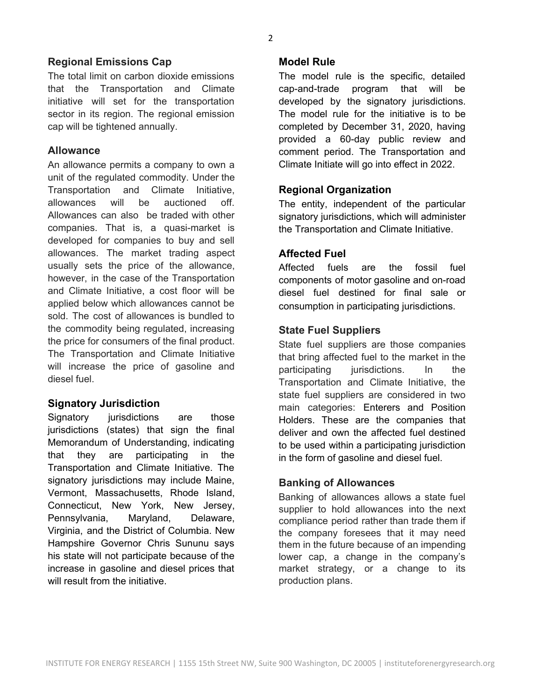# **Regional Emissions Cap**

The total limit on carbon dioxide emissions that the Transportation and Climate initiative will set for the transportation sector in its region. The regional emission cap will be tightened annually.

#### **Allowance**

An allowance permits a company to own a unit of the regulated commodity. Under the Transportation and Climate Initiative, allowances will be auctioned off. Allowances can also be traded with other companies. That is, a quasi-market is developed for companies to buy and sell allowances. The market trading aspect usually sets the price of the allowance, however, in the case of the Transportation and Climate Initiative, a cost floor will be applied below which allowances cannot be sold. The cost of allowances is bundled to the commodity being regulated, increasing the price for consumers of the final product. The Transportation and Climate Initiative will increase the price of gasoline and diesel fuel.

#### **Signatory Jurisdiction**

Signatory jurisdictions are those jurisdictions (states) that sign the final Memorandum of Understanding, indicating that they are participating in the Transportation and Climate Initiative. The signatory jurisdictions may include Maine, Vermont, Massachusetts, Rhode Island, Connecticut, New York, New Jersey, Pennsylvania, Maryland, Delaware, Virginia, and the District of Columbia. New Hampshire Governor Chris Sununu says his state will not participate because of the increase in gasoline and diesel prices that will result from the initiative.

#### **Model Rule**

The model rule is the specific, detailed cap-and-trade program that will be developed by the signatory jurisdictions. The model rule for the initiative is to be completed by December 31, 2020, having provided a 60-day public review and comment period. The Transportation and Climate Initiate will go into effect in 2022.

#### **Regional Organization**

The entity, independent of the particular signatory jurisdictions, which will administer the Transportation and Climate Initiative.

# **Affected Fuel**

Affected fuels are the fossil fuel components of motor gasoline and on-road diesel fuel destined for final sale or consumption in participating jurisdictions.

#### **State Fuel Suppliers**

State fuel suppliers are those companies that bring affected fuel to the market in the participating jurisdictions. In the Transportation and Climate Initiative, the state fuel suppliers are considered in two main categories: Enterers and Position Holders. These are the companies that deliver and own the affected fuel destined to be used within a participating jurisdiction in the form of gasoline and diesel fuel.

#### **Banking of Allowances**

Banking of allowances allows a state fuel supplier to hold allowances into the next compliance period rather than trade them if the company foresees that it may need them in the future because of an impending lower cap, a change in the company's market strategy, or a change to its production plans.